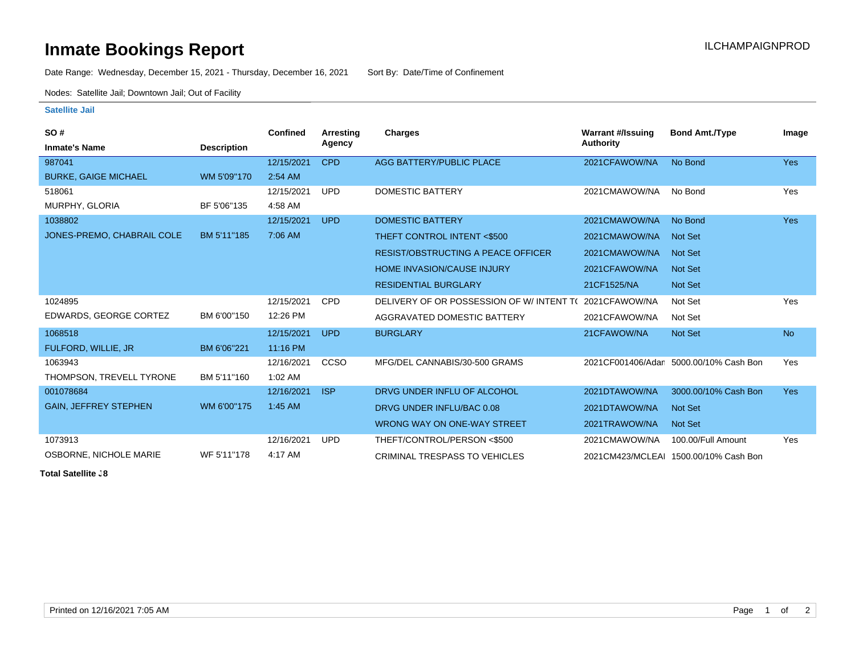## **Inmate Bookings Report Installation Control Control Control Control Control Control Control Control Control Control Control Control Control Control Control Control Control Control Control Control Control Control Control**

Date Range: Wednesday, December 15, 2021 - Thursday, December 16, 2021 Sort By: Date/Time of Confinement

Nodes: Satellite Jail; Downtown Jail; Out of Facility

## **Satellite Jail**

| SO#                          |                    | <b>Confined</b> | Arresting  | Charges                                   | <b>Warrant #/Issuing</b> | <b>Bond Amt./Type</b>                  | Image      |
|------------------------------|--------------------|-----------------|------------|-------------------------------------------|--------------------------|----------------------------------------|------------|
| <b>Inmate's Name</b>         | <b>Description</b> |                 | Agency     |                                           | Authority                |                                        |            |
| 987041                       |                    | 12/15/2021      | <b>CPD</b> | AGG BATTERY/PUBLIC PLACE                  | 2021CFAWOW/NA            | No Bond                                | <b>Yes</b> |
| <b>BURKE, GAIGE MICHAEL</b>  | WM 5'09"170        | 2:54 AM         |            |                                           |                          |                                        |            |
| 518061                       |                    | 12/15/2021      | <b>UPD</b> | <b>DOMESTIC BATTERY</b>                   | 2021CMAWOW/NA            | No Bond                                | Yes        |
| MURPHY, GLORIA               | BF 5'06"135        | 4:58 AM         |            |                                           |                          |                                        |            |
| 1038802                      |                    | 12/15/2021      | <b>UPD</b> | <b>DOMESTIC BATTERY</b>                   | 2021CMAWOW/NA            | No Bond                                | <b>Yes</b> |
| JONES-PREMO, CHABRAIL COLE   | BM 5'11"185        | 7:06 AM         |            | THEFT CONTROL INTENT <\$500               | 2021CMAWOW/NA            | <b>Not Set</b>                         |            |
|                              |                    |                 |            | <b>RESIST/OBSTRUCTING A PEACE OFFICER</b> | 2021CMAWOW/NA            | <b>Not Set</b>                         |            |
|                              |                    |                 |            | <b>HOME INVASION/CAUSE INJURY</b>         | 2021CFAWOW/NA            | <b>Not Set</b>                         |            |
|                              |                    |                 |            | <b>RESIDENTIAL BURGLARY</b>               | 21CF1525/NA              | <b>Not Set</b>                         |            |
| 1024895                      |                    | 12/15/2021      | <b>CPD</b> | DELIVERY OF OR POSSESSION OF W/INTENT TO  | 2021CFAWOW/NA            | Not Set                                | Yes        |
| EDWARDS, GEORGE CORTEZ       | BM 6'00"150        | 12:26 PM        |            | AGGRAVATED DOMESTIC BATTERY               | 2021CFAWOW/NA            | Not Set                                |            |
| 1068518                      |                    | 12/15/2021      | <b>UPD</b> | <b>BURGLARY</b>                           | 21CFAWOW/NA              | <b>Not Set</b>                         | <b>No</b>  |
| FULFORD, WILLIE, JR          | BM 6'06"221        | 11:16 PM        |            |                                           |                          |                                        |            |
| 1063943                      |                    | 12/16/2021      | CCSO       | MFG/DEL CANNABIS/30-500 GRAMS             |                          | 2021CF001406/Adan 5000.00/10% Cash Bon | Yes        |
| THOMPSON, TREVELL TYRONE     | BM 5'11"160        | $1:02$ AM       |            |                                           |                          |                                        |            |
| 001078684                    |                    | 12/16/2021      | <b>ISP</b> | DRVG UNDER INFLU OF ALCOHOL               | 2021DTAWOW/NA            | 3000.00/10% Cash Bon                   | <b>Yes</b> |
| <b>GAIN, JEFFREY STEPHEN</b> | WM 6'00"175        | 1:45 AM         |            | DRVG UNDER INFLU/BAC 0.08                 | 2021DTAWOW/NA            | <b>Not Set</b>                         |            |
|                              |                    |                 |            | WRONG WAY ON ONE-WAY STREET               | 2021TRAWOW/NA            | <b>Not Set</b>                         |            |
| 1073913                      |                    | 12/16/2021      | <b>UPD</b> | THEFT/CONTROL/PERSON <\$500               | 2021CMAWOW/NA            | 100.00/Full Amount                     | Yes        |
| OSBORNE, NICHOLE MARIE       | WF 5'11"178        | 4:17 AM         |            | <b>CRIMINAL TRESPASS TO VEHICLES</b>      |                          | 2021CM423/MCLEAI 1500.00/10% Cash Bon  |            |

**Total Satellite**  $.8$